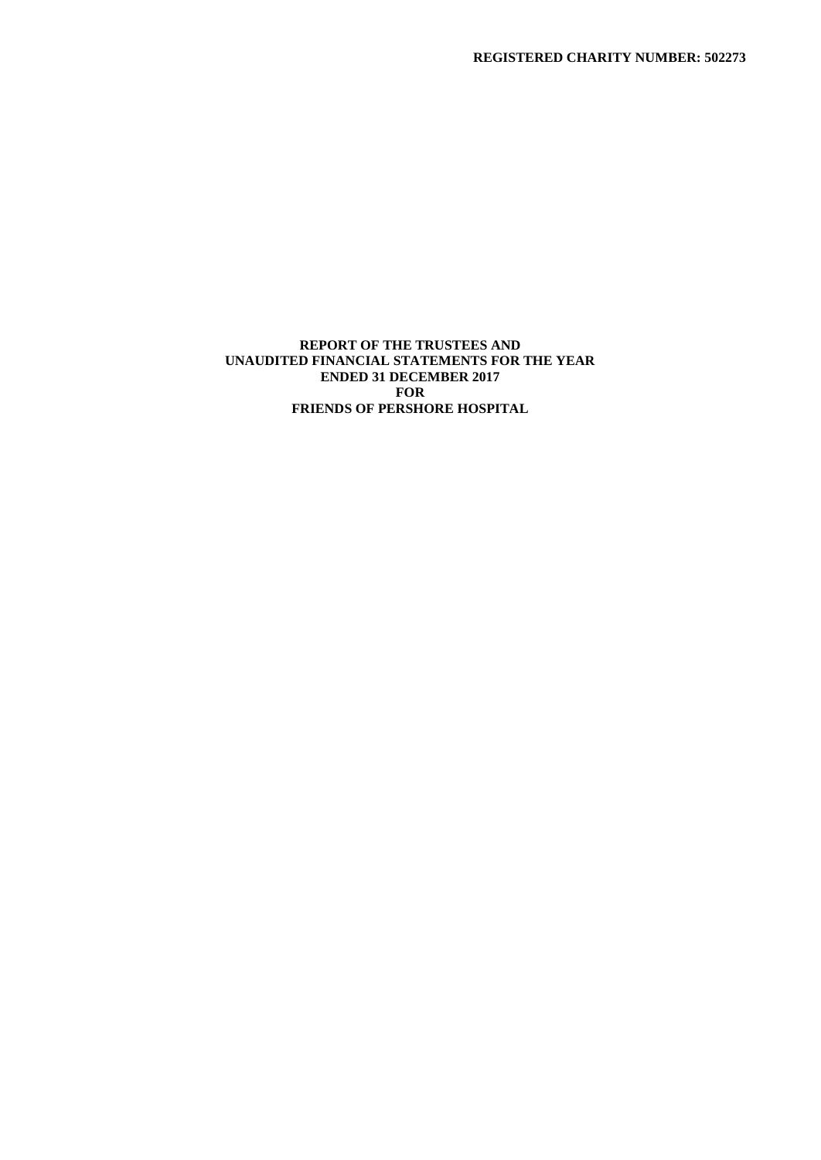# **REPORT OF THE TRUSTEES AND UNAUDITED FINANCIAL STATEMENTS FOR THE YEAR ENDED 31 DECEMBER 2017 FOR FRIENDS OF PERSHORE HOSPITAL**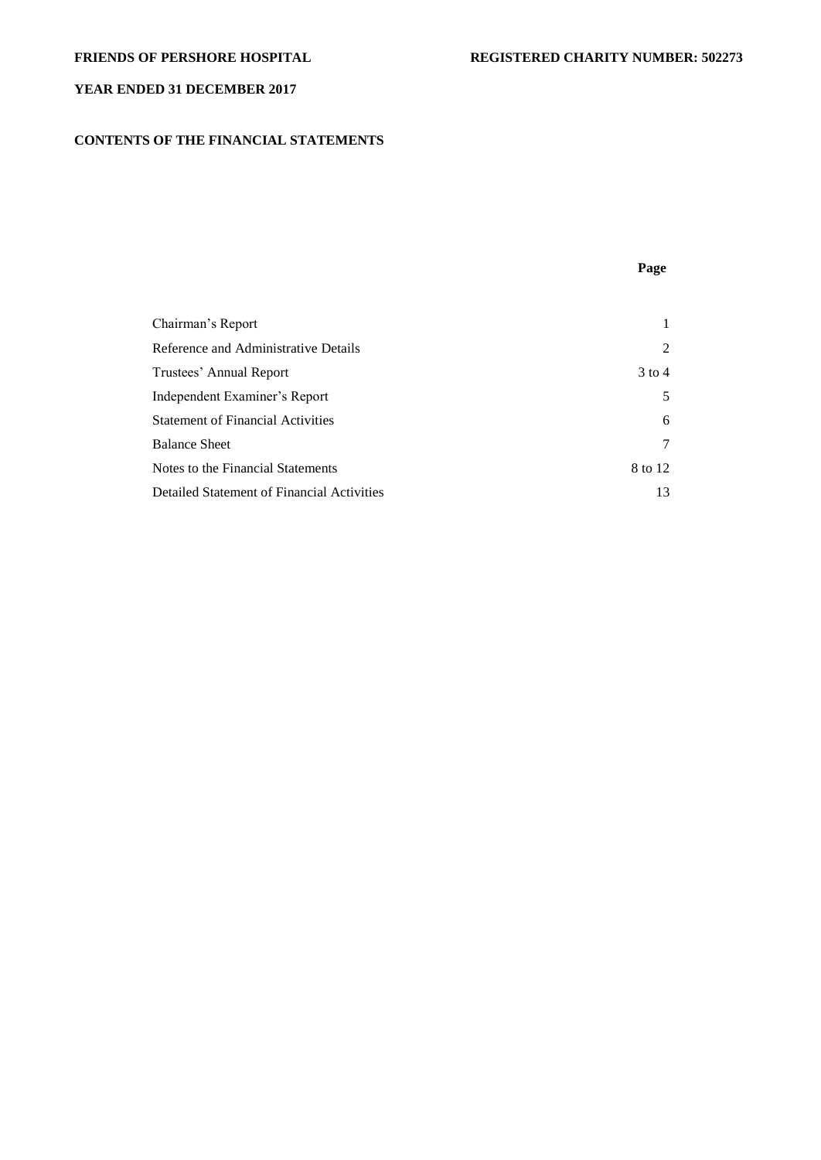# **CONTENTS OF THE FINANCIAL STATEMENTS**

**Page**

| Chairman's Report                          |          |
|--------------------------------------------|----------|
| Reference and Administrative Details       | 2        |
| Trustees' Annual Report                    | $3$ to 4 |
| Independent Examiner's Report              | 5        |
| <b>Statement of Financial Activities</b>   | 6        |
| <b>Balance Sheet</b>                       | 7        |
| Notes to the Financial Statements          | 8 to 12  |
| Detailed Statement of Financial Activities | 13       |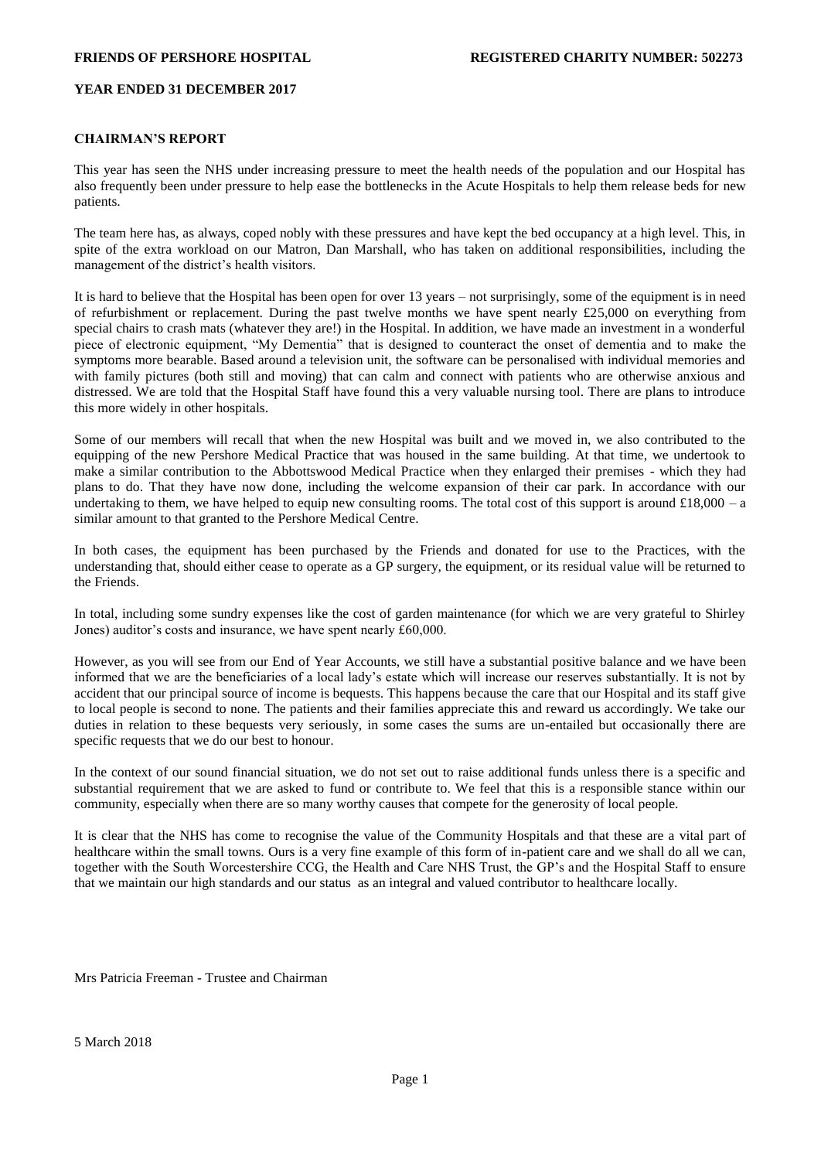## **CHAIRMAN'S REPORT**

This year has seen the NHS under increasing pressure to meet the health needs of the population and our Hospital has also frequently been under pressure to help ease the bottlenecks in the Acute Hospitals to help them release beds for new patients.

The team here has, as always, coped nobly with these pressures and have kept the bed occupancy at a high level. This, in spite of the extra workload on our Matron, Dan Marshall, who has taken on additional responsibilities, including the management of the district's health visitors.

It is hard to believe that the Hospital has been open for over 13 years – not surprisingly, some of the equipment is in need of refurbishment or replacement. During the past twelve months we have spent nearly £25,000 on everything from special chairs to crash mats (whatever they are!) in the Hospital. In addition, we have made an investment in a wonderful piece of electronic equipment, "My Dementia" that is designed to counteract the onset of dementia and to make the symptoms more bearable. Based around a television unit, the software can be personalised with individual memories and with family pictures (both still and moving) that can calm and connect with patients who are otherwise anxious and distressed. We are told that the Hospital Staff have found this a very valuable nursing tool. There are plans to introduce this more widely in other hospitals.

Some of our members will recall that when the new Hospital was built and we moved in, we also contributed to the equipping of the new Pershore Medical Practice that was housed in the same building. At that time, we undertook to make a similar contribution to the Abbottswood Medical Practice when they enlarged their premises - which they had plans to do. That they have now done, including the welcome expansion of their car park. In accordance with our undertaking to them, we have helped to equip new consulting rooms. The total cost of this support is around  $\pounds 18,000 - a$ similar amount to that granted to the Pershore Medical Centre.

In both cases, the equipment has been purchased by the Friends and donated for use to the Practices, with the understanding that, should either cease to operate as a GP surgery, the equipment, or its residual value will be returned to the Friends.

In total, including some sundry expenses like the cost of garden maintenance (for which we are very grateful to Shirley Jones) auditor's costs and insurance, we have spent nearly £60,000.

However, as you will see from our End of Year Accounts, we still have a substantial positive balance and we have been informed that we are the beneficiaries of a local lady's estate which will increase our reserves substantially. It is not by accident that our principal source of income is bequests. This happens because the care that our Hospital and its staff give to local people is second to none. The patients and their families appreciate this and reward us accordingly. We take our duties in relation to these bequests very seriously, in some cases the sums are un-entailed but occasionally there are specific requests that we do our best to honour.

In the context of our sound financial situation, we do not set out to raise additional funds unless there is a specific and substantial requirement that we are asked to fund or contribute to. We feel that this is a responsible stance within our community, especially when there are so many worthy causes that compete for the generosity of local people.

It is clear that the NHS has come to recognise the value of the Community Hospitals and that these are a vital part of healthcare within the small towns. Ours is a very fine example of this form of in-patient care and we shall do all we can, together with the South Worcestershire CCG, the Health and Care NHS Trust, the GP's and the Hospital Staff to ensure that we maintain our high standards and our status as an integral and valued contributor to healthcare locally.

Mrs Patricia Freeman - Trustee and Chairman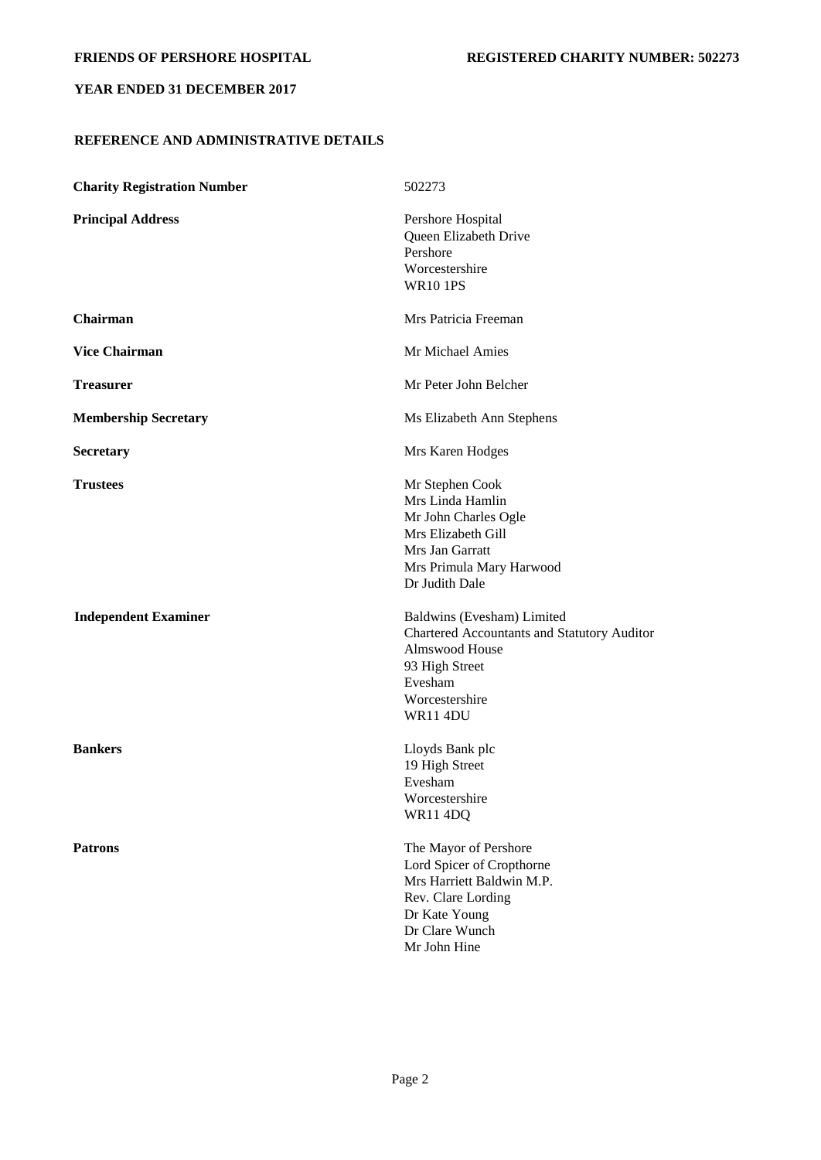# **REFERENCE AND ADMINISTRATIVE DETAILS**

| <b>Charity Registration Number</b> | 502273                                                                                                                                                        |
|------------------------------------|---------------------------------------------------------------------------------------------------------------------------------------------------------------|
| <b>Principal Address</b>           | Pershore Hospital<br>Queen Elizabeth Drive<br>Pershore<br>Worcestershire<br><b>WR10 1PS</b>                                                                   |
| Chairman                           | Mrs Patricia Freeman                                                                                                                                          |
| <b>Vice Chairman</b>               | Mr Michael Amies                                                                                                                                              |
| <b>Treasurer</b>                   | Mr Peter John Belcher                                                                                                                                         |
| <b>Membership Secretary</b>        | Ms Elizabeth Ann Stephens                                                                                                                                     |
| <b>Secretary</b>                   | Mrs Karen Hodges                                                                                                                                              |
| <b>Trustees</b>                    | Mr Stephen Cook<br>Mrs Linda Hamlin<br>Mr John Charles Ogle<br>Mrs Elizabeth Gill<br>Mrs Jan Garratt<br>Mrs Primula Mary Harwood<br>Dr Judith Dale            |
| <b>Independent Examiner</b>        | Baldwins (Evesham) Limited<br>Chartered Accountants and Statutory Auditor<br>Almswood House<br>93 High Street<br>Evesham<br>Worcestershire<br><b>WR11 4DU</b> |
| <b>Bankers</b>                     | Lloyds Bank plc<br>19 High Street<br>Evesham<br>Worcestershire<br>WR11 4DQ                                                                                    |
| <b>Patrons</b>                     | The Mayor of Pershore<br>Lord Spicer of Cropthorne<br>Mrs Harriett Baldwin M.P.<br>Rev. Clare Lording<br>Dr Kate Young<br>Dr Clare Wunch<br>Mr John Hine      |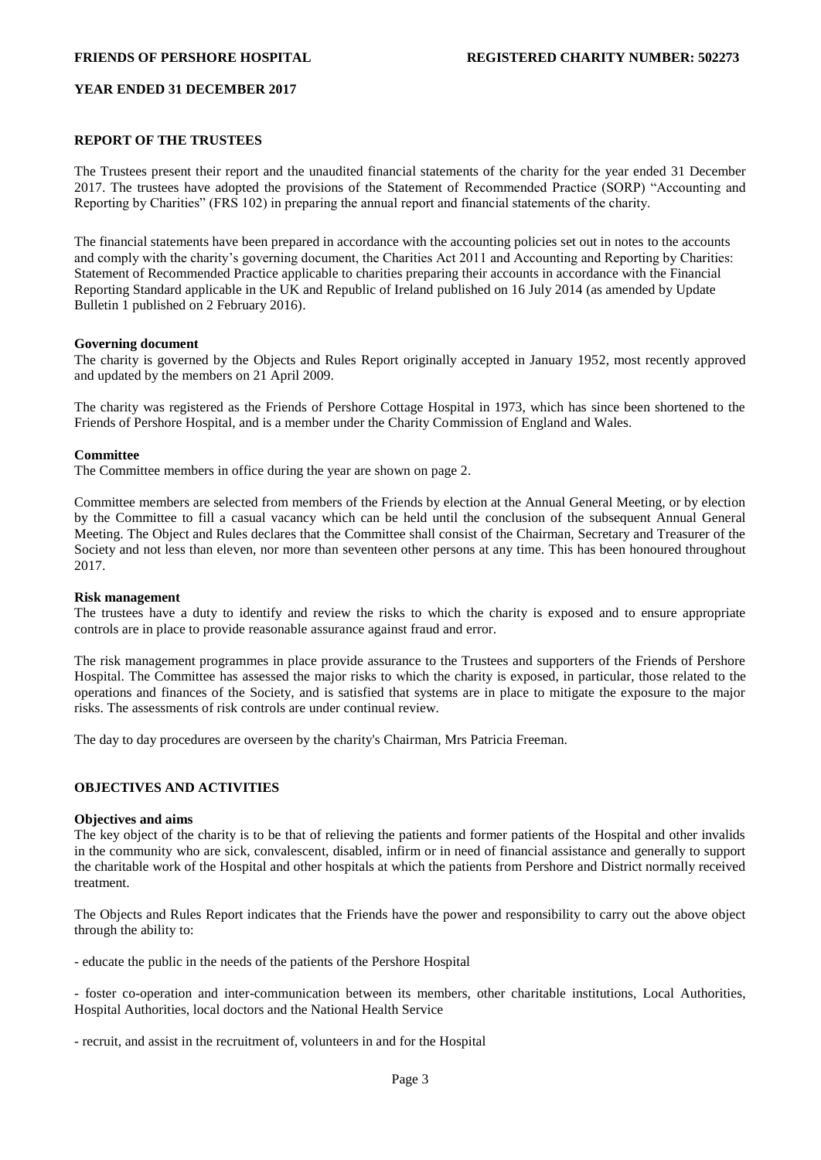## **REPORT OF THE TRUSTEES**

The Trustees present their report and the unaudited financial statements of the charity for the year ended 31 December 2017. The trustees have adopted the provisions of the Statement of Recommended Practice (SORP) "Accounting and Reporting by Charities" (FRS 102) in preparing the annual report and financial statements of the charity.

The financial statements have been prepared in accordance with the accounting policies set out in notes to the accounts and comply with the charity's governing document, the Charities Act 2011 and Accounting and Reporting by Charities: Statement of Recommended Practice applicable to charities preparing their accounts in accordance with the Financial Reporting Standard applicable in the UK and Republic of Ireland published on 16 July 2014 (as amended by Update Bulletin 1 published on 2 February 2016).

#### **Governing document**

The charity is governed by the Objects and Rules Report originally accepted in January 1952, most recently approved and updated by the members on 21 April 2009.

The charity was registered as the Friends of Pershore Cottage Hospital in 1973, which has since been shortened to the Friends of Pershore Hospital, and is a member under the Charity Commission of England and Wales.

### **Committee**

The Committee members in office during the year are shown on page 2.

Committee members are selected from members of the Friends by election at the Annual General Meeting, or by election by the Committee to fill a casual vacancy which can be held until the conclusion of the subsequent Annual General Meeting. The Object and Rules declares that the Committee shall consist of the Chairman, Secretary and Treasurer of the Society and not less than eleven, nor more than seventeen other persons at any time. This has been honoured throughout 2017.

#### **Risk management**

The trustees have a duty to identify and review the risks to which the charity is exposed and to ensure appropriate controls are in place to provide reasonable assurance against fraud and error.

The risk management programmes in place provide assurance to the Trustees and supporters of the Friends of Pershore Hospital. The Committee has assessed the major risks to which the charity is exposed, in particular, those related to the operations and finances of the Society, and is satisfied that systems are in place to mitigate the exposure to the major risks. The assessments of risk controls are under continual review.

The day to day procedures are overseen by the charity's Chairman, Mrs Patricia Freeman.

### **OBJECTIVES AND ACTIVITIES**

## **Objectives and aims**

The key object of the charity is to be that of relieving the patients and former patients of the Hospital and other invalids in the community who are sick, convalescent, disabled, infirm or in need of financial assistance and generally to support the charitable work of the Hospital and other hospitals at which the patients from Pershore and District normally received treatment.

The Objects and Rules Report indicates that the Friends have the power and responsibility to carry out the above object through the ability to:

- educate the public in the needs of the patients of the Pershore Hospital

- foster co-operation and inter-communication between its members, other charitable institutions, Local Authorities, Hospital Authorities, local doctors and the National Health Service

- recruit, and assist in the recruitment of, volunteers in and for the Hospital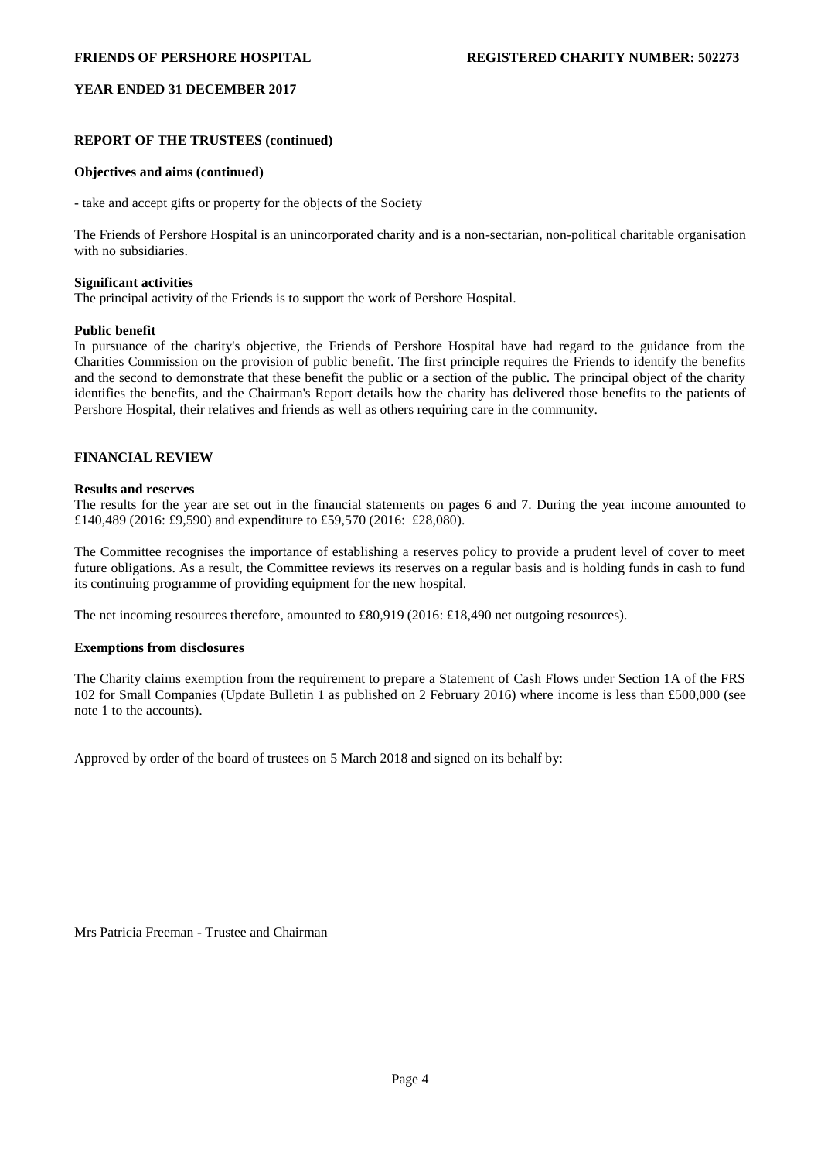# **REPORT OF THE TRUSTEES (continued)**

# **Objectives and aims (continued)**

- take and accept gifts or property for the objects of the Society

The Friends of Pershore Hospital is an unincorporated charity and is a non-sectarian, non-political charitable organisation with no subsidiaries.

### **Significant activities**

The principal activity of the Friends is to support the work of Pershore Hospital.

## **Public benefit**

In pursuance of the charity's objective, the Friends of Pershore Hospital have had regard to the guidance from the Charities Commission on the provision of public benefit. The first principle requires the Friends to identify the benefits and the second to demonstrate that these benefit the public or a section of the public. The principal object of the charity identifies the benefits, and the Chairman's Report details how the charity has delivered those benefits to the patients of Pershore Hospital, their relatives and friends as well as others requiring care in the community.

# **FINANCIAL REVIEW**

## **Results and reserves**

The results for the year are set out in the financial statements on pages 6 and 7. During the year income amounted to £140,489 (2016: £9,590) and expenditure to £59,570 (2016: £28,080).

The Committee recognises the importance of establishing a reserves policy to provide a prudent level of cover to meet future obligations. As a result, the Committee reviews its reserves on a regular basis and is holding funds in cash to fund its continuing programme of providing equipment for the new hospital.

The net incoming resources therefore, amounted to £80,919 (2016: £18,490 net outgoing resources).

# **Exemptions from disclosures**

The Charity claims exemption from the requirement to prepare a Statement of Cash Flows under Section 1A of the FRS 102 for Small Companies (Update Bulletin 1 as published on 2 February 2016) where income is less than £500,000 (see note 1 to the accounts).

Approved by order of the board of trustees on 5 March 2018 and signed on its behalf by:

Mrs Patricia Freeman - Trustee and Chairman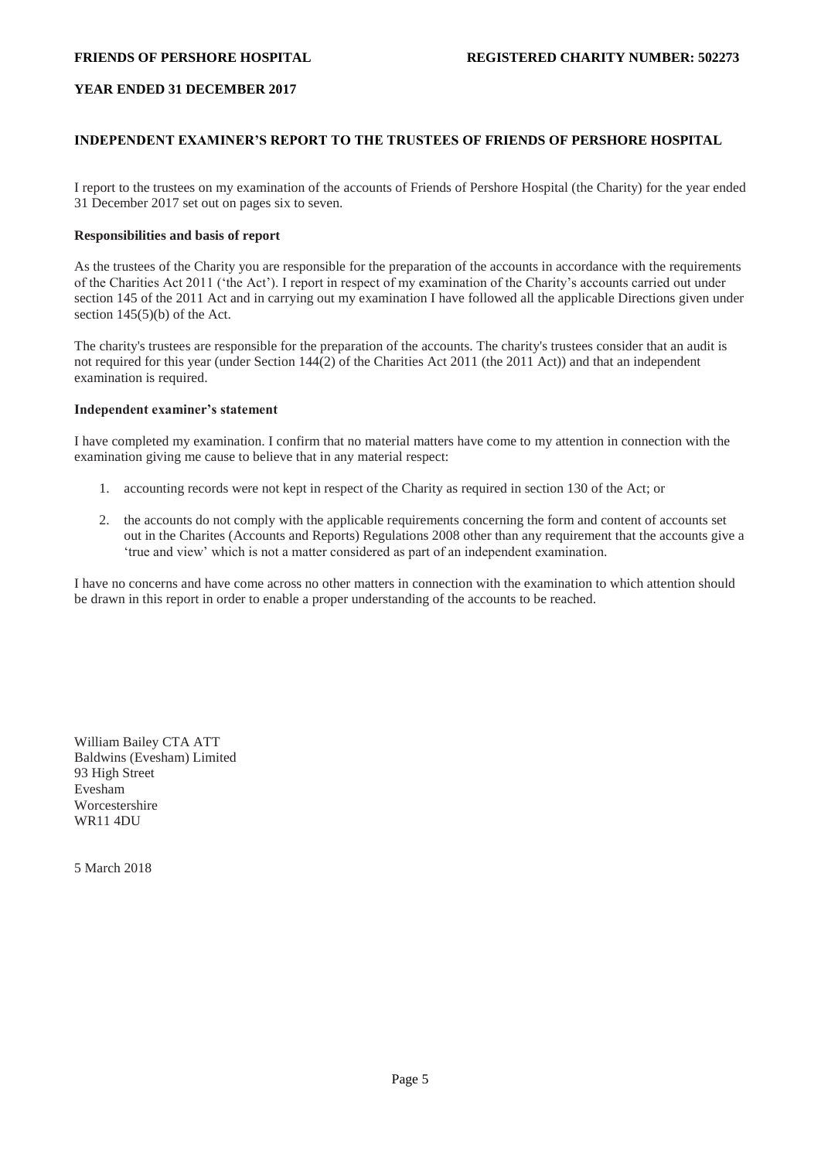# **INDEPENDENT EXAMINER'S REPORT TO THE TRUSTEES OF FRIENDS OF PERSHORE HOSPITAL**

I report to the trustees on my examination of the accounts of Friends of Pershore Hospital (the Charity) for the year ended 31 December 2017 set out on pages six to seven.

# **Responsibilities and basis of report**

As the trustees of the Charity you are responsible for the preparation of the accounts in accordance with the requirements of the Charities Act 2011 ('the Act'). I report in respect of my examination of the Charity's accounts carried out under section 145 of the 2011 Act and in carrying out my examination I have followed all the applicable Directions given under section  $145(5)(b)$  of the Act.

The charity's trustees are responsible for the preparation of the accounts. The charity's trustees consider that an audit is not required for this year (under Section 144(2) of the Charities Act 2011 (the 2011 Act)) and that an independent examination is required.

## **Independent examiner's statement**

I have completed my examination. I confirm that no material matters have come to my attention in connection with the examination giving me cause to believe that in any material respect:

- 1. accounting records were not kept in respect of the Charity as required in section 130 of the Act; or
- 2. the accounts do not comply with the applicable requirements concerning the form and content of accounts set out in the Charites (Accounts and Reports) Regulations 2008 other than any requirement that the accounts give a 'true and view' which is not a matter considered as part of an independent examination.

I have no concerns and have come across no other matters in connection with the examination to which attention should be drawn in this report in order to enable a proper understanding of the accounts to be reached.

William Bailey CTA ATT Baldwins (Evesham) Limited 93 High Street Evesham Worcestershire WR11 4DU

5 March 2018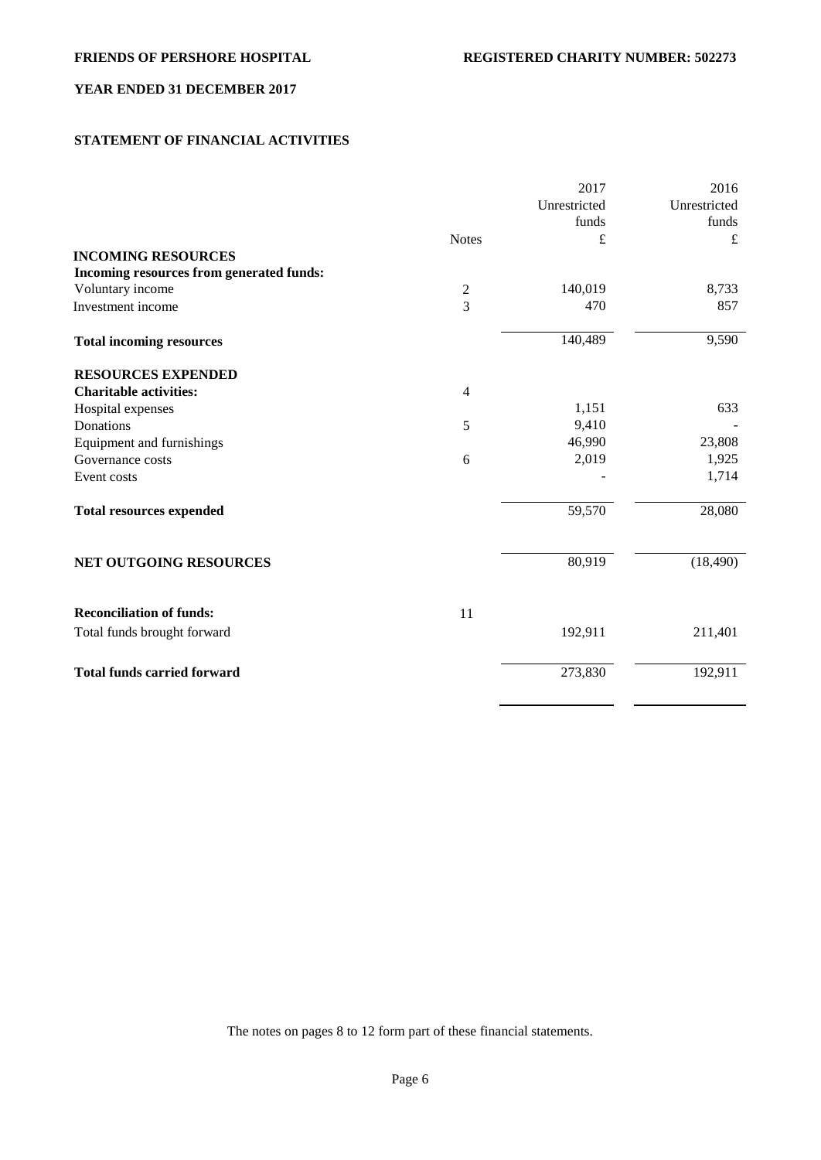# **STATEMENT OF FINANCIAL ACTIVITIES**

|                                                 | Unrestricted | Unrestricted |
|-------------------------------------------------|--------------|--------------|
|                                                 | funds        | funds        |
| <b>Notes</b>                                    | £            | $\pounds$    |
| <b>INCOMING RESOURCES</b>                       |              |              |
| Incoming resources from generated funds:        |              |              |
| Voluntary income<br>2                           | 140,019      | 8,733        |
| $\overline{3}$<br>Investment income             | 470          | 857          |
| <b>Total incoming resources</b>                 | 140,489      | 9,590        |
| <b>RESOURCES EXPENDED</b>                       |              |              |
| <b>Charitable activities:</b><br>$\overline{4}$ |              |              |
| Hospital expenses                               | 1,151        | 633          |
| Donations<br>5                                  | 9,410        |              |
| Equipment and furnishings                       | 46,990       | 23,808       |
| Governance costs<br>6                           | 2,019        | 1,925        |
| Event costs                                     |              | 1,714        |
| <b>Total resources expended</b>                 | 59,570       | 28,080       |
| NET OUTGOING RESOURCES                          | 80,919       | (18, 490)    |
| <b>Reconciliation of funds:</b><br>11           |              |              |
| Total funds brought forward                     | 192,911      | 211,401      |
| <b>Total funds carried forward</b>              | 273,830      | 192,911      |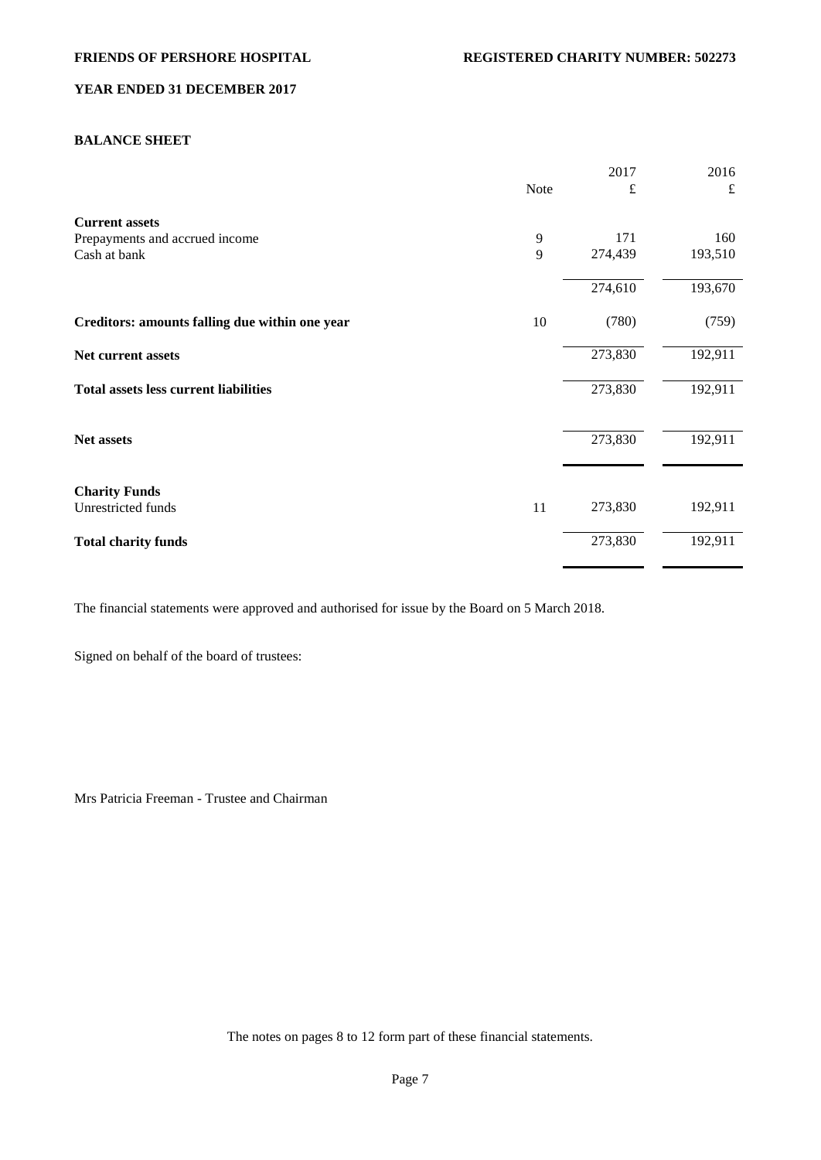# **BALANCE SHEET**

|                                                |             | 2017    | 2016    |
|------------------------------------------------|-------------|---------|---------|
|                                                | <b>Note</b> | £       | £       |
| <b>Current assets</b>                          |             |         |         |
| Prepayments and accrued income                 | 9           | 171     | 160     |
| Cash at bank                                   | 9           | 274,439 | 193,510 |
|                                                |             | 274,610 | 193,670 |
| Creditors: amounts falling due within one year | 10          | (780)   | (759)   |
| Net current assets                             |             | 273,830 | 192,911 |
| <b>Total assets less current liabilities</b>   |             | 273,830 | 192,911 |
| Net assets                                     |             | 273,830 | 192,911 |
|                                                |             |         |         |
| <b>Charity Funds</b>                           |             |         |         |
| Unrestricted funds                             | 11          | 273,830 | 192,911 |
| <b>Total charity funds</b>                     |             | 273,830 | 192,911 |

The financial statements were approved and authorised for issue by the Board on 5 March 2018.

Signed on behalf of the board of trustees:

Mrs Patricia Freeman - Trustee and Chairman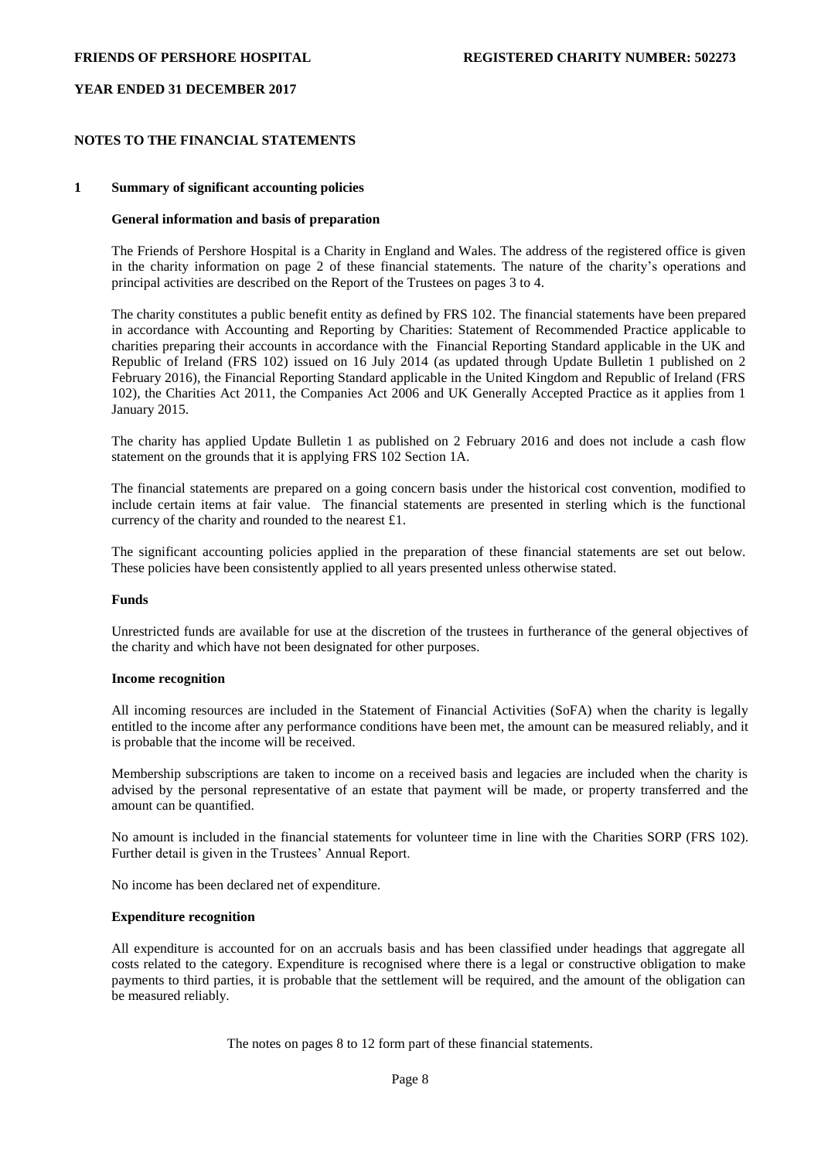## **NOTES TO THE FINANCIAL STATEMENTS**

### **1 Summary of significant accounting policies**

### **General information and basis of preparation**

The Friends of Pershore Hospital is a Charity in England and Wales. The address of the registered office is given in the charity information on page 2 of these financial statements. The nature of the charity's operations and principal activities are described on the Report of the Trustees on pages 3 to 4.

The charity constitutes a public benefit entity as defined by FRS 102. The financial statements have been prepared in accordance with Accounting and Reporting by Charities: Statement of Recommended Practice applicable to charities preparing their accounts in accordance with the Financial Reporting Standard applicable in the UK and Republic of Ireland (FRS 102) issued on 16 July 2014 (as updated through Update Bulletin 1 published on 2 February 2016), the Financial Reporting Standard applicable in the United Kingdom and Republic of Ireland (FRS 102), the Charities Act 2011, the Companies Act 2006 and UK Generally Accepted Practice as it applies from 1 January 2015.

The charity has applied Update Bulletin 1 as published on 2 February 2016 and does not include a cash flow statement on the grounds that it is applying FRS 102 Section 1A.

The financial statements are prepared on a going concern basis under the historical cost convention, modified to include certain items at fair value. The financial statements are presented in sterling which is the functional currency of the charity and rounded to the nearest £1.

The significant accounting policies applied in the preparation of these financial statements are set out below. These policies have been consistently applied to all years presented unless otherwise stated.

### **Funds**

Unrestricted funds are available for use at the discretion of the trustees in furtherance of the general objectives of the charity and which have not been designated for other purposes.

#### **Income recognition**

All incoming resources are included in the Statement of Financial Activities (SoFA) when the charity is legally entitled to the income after any performance conditions have been met, the amount can be measured reliably, and it is probable that the income will be received.

Membership subscriptions are taken to income on a received basis and legacies are included when the charity is advised by the personal representative of an estate that payment will be made, or property transferred and the amount can be quantified.

No amount is included in the financial statements for volunteer time in line with the Charities SORP (FRS 102). Further detail is given in the Trustees' Annual Report.

No income has been declared net of expenditure.

### **Expenditure recognition**

All expenditure is accounted for on an accruals basis and has been classified under headings that aggregate all costs related to the category. Expenditure is recognised where there is a legal or constructive obligation to make payments to third parties, it is probable that the settlement will be required, and the amount of the obligation can be measured reliably.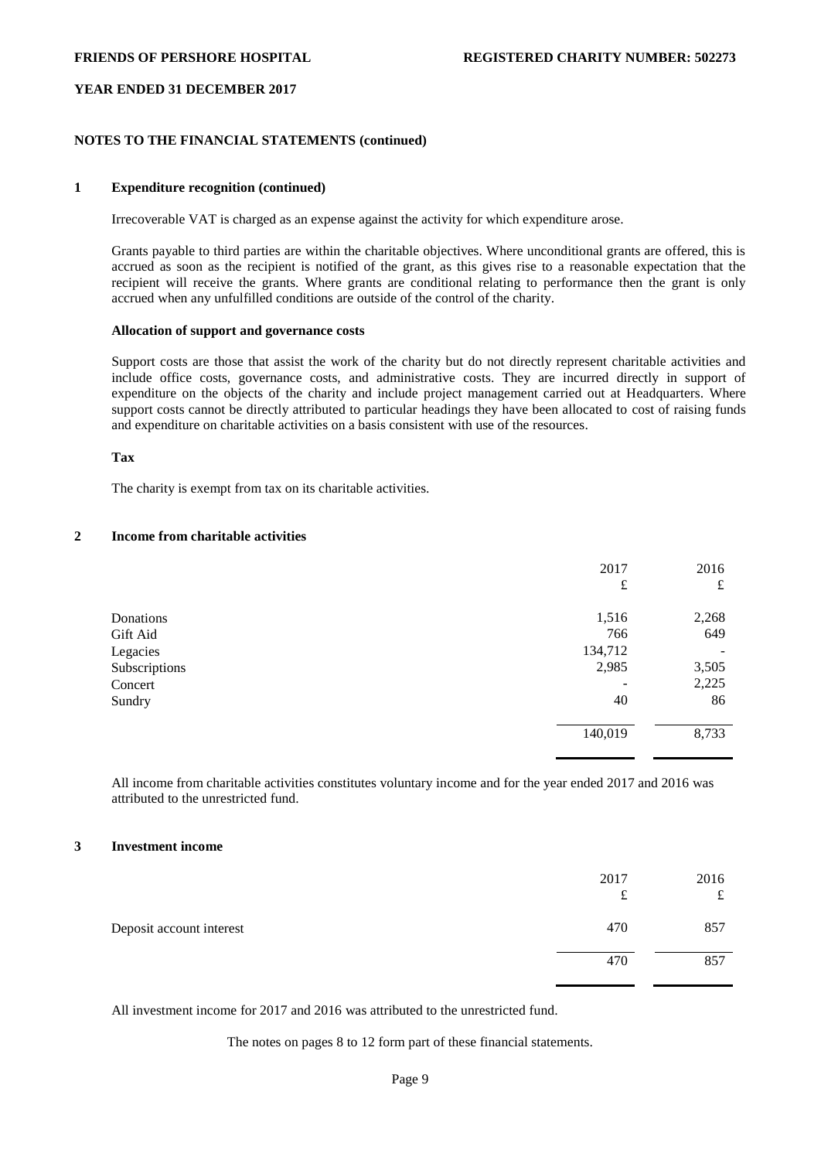# **NOTES TO THE FINANCIAL STATEMENTS (continued)**

## **1 Expenditure recognition (continued)**

Irrecoverable VAT is charged as an expense against the activity for which expenditure arose.

Grants payable to third parties are within the charitable objectives. Where unconditional grants are offered, this is accrued as soon as the recipient is notified of the grant, as this gives rise to a reasonable expectation that the recipient will receive the grants. Where grants are conditional relating to performance then the grant is only accrued when any unfulfilled conditions are outside of the control of the charity.

# **Allocation of support and governance costs**

Support costs are those that assist the work of the charity but do not directly represent charitable activities and include office costs, governance costs, and administrative costs. They are incurred directly in support of expenditure on the objects of the charity and include project management carried out at Headquarters. Where support costs cannot be directly attributed to particular headings they have been allocated to cost of raising funds and expenditure on charitable activities on a basis consistent with use of the resources.

### **Tax**

The charity is exempt from tax on its charitable activities.

# **2 Income from charitable activities**

|               | 2017      | 2016  |
|---------------|-----------|-------|
|               | $\pounds$ | £     |
| Donations     | 1,516     | 2,268 |
| Gift Aid      | 766       | 649   |
| Legacies      | 134,712   |       |
| Subscriptions | 2,985     | 3,505 |
| Concert       |           | 2,225 |
| Sundry        | 40        | 86    |
|               | 140,019   | 8,733 |

All income from charitable activities constitutes voluntary income and for the year ended 2017 and 2016 was attributed to the unrestricted fund.

#### **3 Investment income**

|                          | 2017<br>£ | 2016<br>£ |
|--------------------------|-----------|-----------|
| Deposit account interest | 470       | 857       |
|                          | 470       | 857       |

All investment income for 2017 and 2016 was attributed to the unrestricted fund.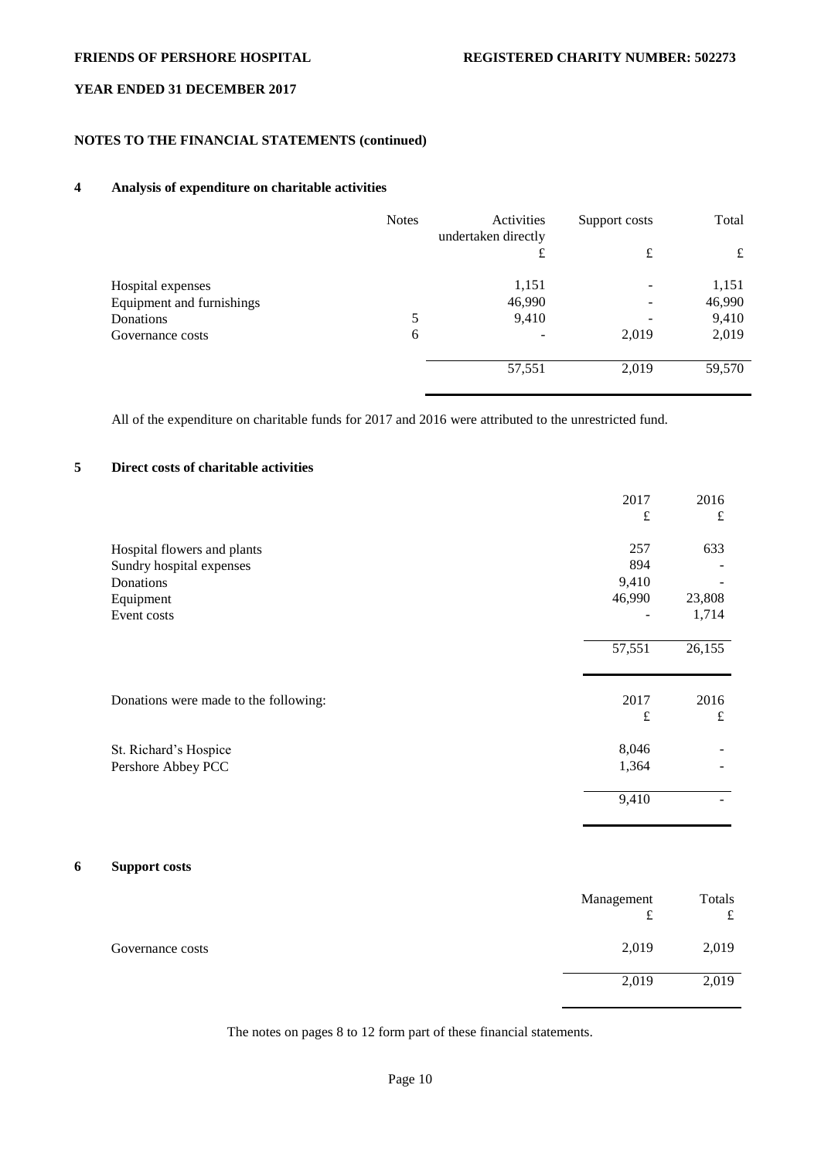# **NOTES TO THE FINANCIAL STATEMENTS (continued)**

# **4 Analysis of expenditure on charitable activities**

|                           | <b>Notes</b> | Activities<br>undertaken directly | Support costs | Total  |
|---------------------------|--------------|-----------------------------------|---------------|--------|
|                           |              | £                                 | £             | £      |
| Hospital expenses         |              | 1,151                             |               | 1,151  |
| Equipment and furnishings |              | 46,990                            |               | 46,990 |
| Donations                 | 5            | 9,410                             |               | 9,410  |
| Governance costs          | 6            | $\qquad \qquad$                   | 2,019         | 2,019  |
|                           |              | 57,551                            | 2,019         | 59,570 |

All of the expenditure on charitable funds for 2017 and 2016 were attributed to the unrestricted fund.

# **5 Direct costs of charitable activities**

|                                       | 2017                     | 2016   |
|---------------------------------------|--------------------------|--------|
|                                       | $\pounds$                | £      |
| Hospital flowers and plants           | 257                      | 633    |
| Sundry hospital expenses              | 894                      |        |
| Donations                             | 9,410                    |        |
| Equipment                             | 46,990                   | 23,808 |
| Event costs                           | $\overline{\phantom{a}}$ | 1,714  |
|                                       |                          |        |
|                                       | 57,551                   | 26,155 |
|                                       |                          |        |
| Donations were made to the following: | 2017                     | 2016   |
|                                       | £                        | £      |
| St. Richard's Hospice                 | 8,046                    |        |
| Pershore Abbey PCC                    | 1,364                    |        |
|                                       | 9,410                    |        |
|                                       |                          |        |

# **6 Support costs**

|                  | Management<br>t | Totals<br>£ |
|------------------|-----------------|-------------|
| Governance costs | 2,019           | 2,019       |
|                  | 2,019           | 2,019       |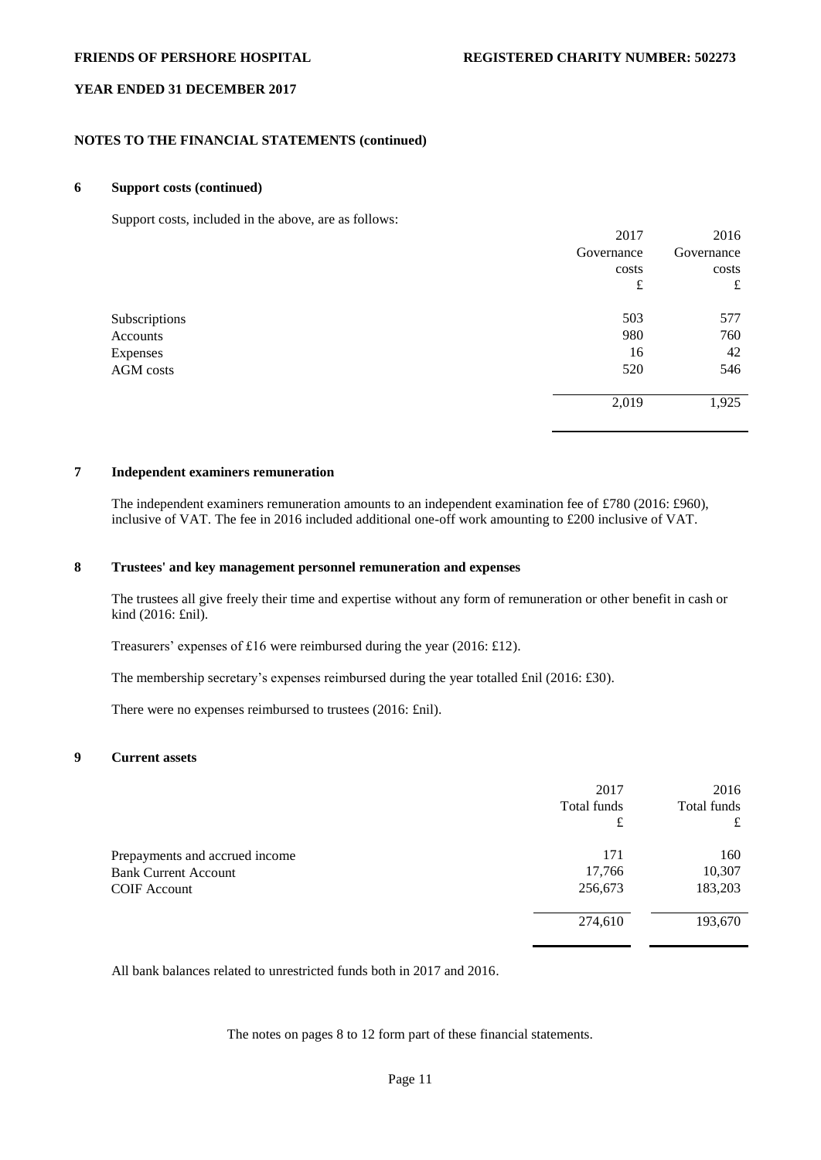## **NOTES TO THE FINANCIAL STATEMENTS (continued)**

### **6 Support costs (continued)**

Support costs, included in the above, are as follows:

| $\mathbf{r}$<br>$\sim$ | $\sim$<br>2017 | 2016       |
|------------------------|----------------|------------|
|                        |                |            |
|                        | Governance     | Governance |
|                        | costs          | costs      |
|                        | £              | £          |
| Subscriptions          | 503            | 577        |
| Accounts               | 980            | 760        |
| Expenses               | 16             | 42         |
| AGM costs              | 520            | 546        |
|                        |                |            |
|                        | 2,019          | 1,925      |
|                        |                |            |

### **7 Independent examiners remuneration**

The independent examiners remuneration amounts to an independent examination fee of £780 (2016: £960), inclusive of VAT. The fee in 2016 included additional one-off work amounting to £200 inclusive of VAT.

## **8 Trustees' and key management personnel remuneration and expenses**

The trustees all give freely their time and expertise without any form of remuneration or other benefit in cash or kind (2016: £nil).

Treasurers' expenses of £16 were reimbursed during the year (2016: £12).

The membership secretary's expenses reimbursed during the year totalled £nil (2016: £30).

There were no expenses reimbursed to trustees (2016: £nil).

# **9 Current assets**

|                                | 2017        | 2016        |
|--------------------------------|-------------|-------------|
|                                | Total funds | Total funds |
|                                | £           | £           |
| Prepayments and accrued income | 171         | 160         |
| <b>Bank Current Account</b>    | 17,766      | 10,307      |
| <b>COIF</b> Account            | 256,673     | 183,203     |
|                                | 274,610     | 193,670     |

All bank balances related to unrestricted funds both in 2017 and 2016.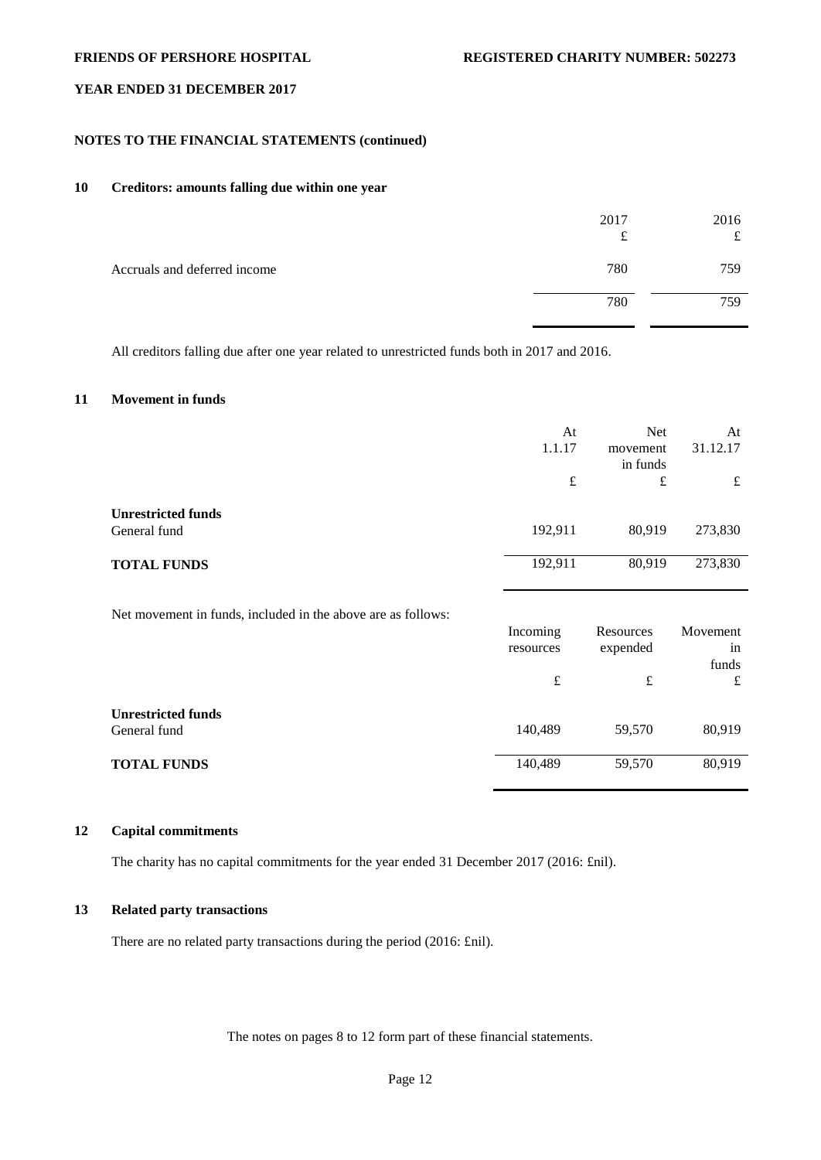# **NOTES TO THE FINANCIAL STATEMENTS (continued)**

# **10 Creditors: amounts falling due within one year**

|                              | 2017<br>t | 2016<br>ىم |
|------------------------------|-----------|------------|
| Accruals and deferred income | 780       | 759        |
|                              | 780       | 759        |

All creditors falling due after one year related to unrestricted funds both in 2017 and 2016.

# **11 Movement in funds**

|                                                              | At        | <b>Net</b> | At       |
|--------------------------------------------------------------|-----------|------------|----------|
|                                                              | 1.1.17    | movement   | 31.12.17 |
|                                                              |           | in funds   |          |
|                                                              | $\pounds$ | £          | £        |
| <b>Unrestricted funds</b>                                    |           |            |          |
| General fund                                                 | 192,911   | 80,919     | 273,830  |
|                                                              |           |            |          |
| <b>TOTAL FUNDS</b>                                           | 192,911   | 80,919     | 273,830  |
|                                                              |           |            |          |
| Net movement in funds, included in the above are as follows: |           |            |          |
|                                                              | Incoming  | Resources  | Movement |
|                                                              | resources | expended   | in       |
|                                                              |           |            | funds    |
|                                                              | $\pounds$ | $\pounds$  | £        |
| <b>Unrestricted funds</b>                                    |           |            |          |
| General fund                                                 | 140,489   | 59,570     | 80,919   |
|                                                              |           |            |          |
| <b>TOTAL FUNDS</b>                                           | 140,489   | 59,570     | 80,919   |

## **12 Capital commitments**

The charity has no capital commitments for the year ended 31 December 2017 (2016: £nil).

# **13 Related party transactions**

There are no related party transactions during the period (2016: £nil).